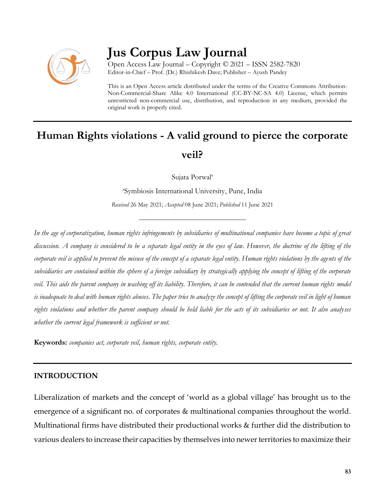

# **Jus Corpus Law Journal**

Open Access Law Journal – Copyright © 2021 – ISSN 2582-7820 Editor-in-Chief – Prof. (Dr.) Rhishikesh Dave; Publisher – Ayush Pandey

This is an Open Access article distributed under the terms of the Creative Commons Attribution-Non-Commercial-Share Alike 4.0 International (CC-BY-NC-SA 4.0) License, which permits unrestricted non-commercial use, distribution, and reproduction in any medium, provided the original work is properly cited.

# **Human Rights violations - A valid ground to pierce the corporate veil?**

Sujata Porwal<sup>a</sup>

a Symbiosis International University, Pune, India

*Received* 26 May 2021; *Accepted* 08 June 2021; *Published* 11 June 2021

\_\_\_\_\_\_\_\_\_\_\_\_\_\_\_\_\_\_\_\_\_\_\_\_\_\_\_\_\_\_\_\_\_\_

*In the age of corporatization, human rights infringements by subsidiaries of multinational companies have become a topic of great discussion. A company is considered to be a separate legal entity in the eyes of law. However, the doctrine of the lifting of the*  corporate veil is applied to prevent the misuse of the concept of a separate legal entity. Human rights violations by the agents of the *subsidiaries are contained within the sphere of a foreign subsidiary by strategically applying the concept of lifting of the corporate veil. This aids the parent company in washing off its liability. Therefore, it can be contended that the current human rights model is inadequate to deal with human rights abuses. The paper tries to analyze the concept of lifting the corporate veil in light of human rights violations and whether the parent company should be held liable for the acts of its subsidiaries or not. It also analyses whether the current legal framework is sufficient or not.*

**Keywords:** *companies act, corporate veil, human rights, corporate entity.*

#### **INTRODUCTION**

Liberalization of markets and the concept of 'world as a global village' has brought us to the emergence of a significant no. of corporates & multinational companies throughout the world. Multinational firms have distributed their productional works & further did the distribution to various dealers to increase their capacities by themselves into newer territories to maximize their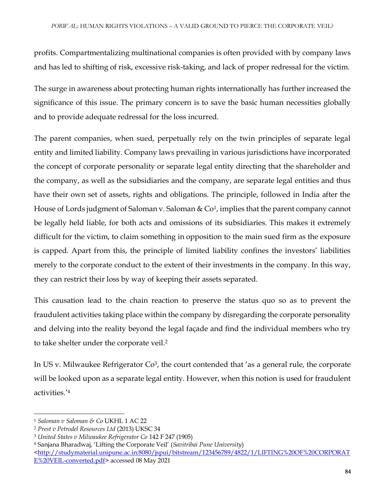profits. Compartmentalizing multinational companies is often provided with by company laws and has led to shifting of risk, excessive risk-taking, and lack of proper redressal for the victim.

The surge in awareness about protecting human rights internationally has further increased the significance of this issue. The primary concern is to save the basic human necessities globally and to provide adequate redressal for the loss incurred.

The parent companies, when sued, perpetually rely on the twin principles of separate legal entity and limited liability. Company laws prevailing in various jurisdictions have incorporated the concept of corporate personality or separate legal entity directing that the shareholder and the company, as well as the subsidiaries and the company, are separate legal entities and thus have their own set of assets, rights and obligations. The principle, followed in India after the House of Lords judgment of Saloman v. Saloman & Co<sup>1</sup>, implies that the parent company cannot be legally held liable, for both acts and omissions of its subsidiaries. This makes it extremely difficult for the victim, to claim something in opposition to the main sued firm as the exposure is capped. Apart from this, the principle of limited liability confines the investors' liabilities merely to the corporate conduct to the extent of their investments in the company. In this way, they can restrict their loss by way of keeping their assets separated.

This causation lead to the chain reaction to preserve the status quo so as to prevent the fraudulent activities taking place within the company by disregarding the corporate personality and delving into the reality beyond the legal façade and find the individual members who try to take shelter under the corporate veil.<sup>2</sup>

In US v. Milwaukee Refrigerator  $Co^3$ , the court contended that 'as a general rule, the corporate will be looked upon as a separate legal entity. However, when this notion is used for fraudulent activities.'<sup>4</sup>

 $\overline{a}$ 

<sup>1</sup> *Saloman v Saloman & Co* UKHL 1 AC 22

<sup>2</sup> *Prest v Petrodel Resources Ltd* (2013) UKSC 34

<sup>3</sup> *United States v Milwaukee Refrigerator Co* 142 F 247 (1905)

<sup>4</sup> Sanjana Bharadwaj, 'Lifting the Corporate Veil' (*Savitribai Pune University*)

[<sup>&</sup>lt;http://studymaterial.unipune.ac.in:8080/jspui/bitstream/123456789/4822/1/LIFTING%20OF%20CORPORAT](http://studymaterial.unipune.ac.in:8080/jspui/bitstream/123456789/4822/1/LIFTING%20OF%20CORPORATE%20VEIL-converted.pdf) [E%20VEIL-converted.pdf>](http://studymaterial.unipune.ac.in:8080/jspui/bitstream/123456789/4822/1/LIFTING%20OF%20CORPORATE%20VEIL-converted.pdf) accessed 08 May 2021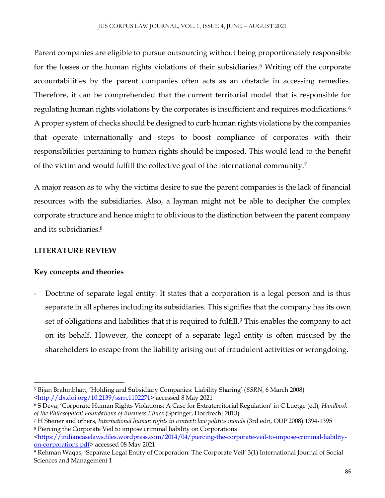Parent companies are eligible to pursue outsourcing without being proportionately responsible for the losses or the human rights violations of their subsidiaries.<sup>5</sup> Writing off the corporate accountabilities by the parent companies often acts as an obstacle in accessing remedies. Therefore, it can be comprehended that the current territorial model that is responsible for regulating human rights violations by the corporates is insufficient and requires modifications.<sup>6</sup> A proper system of checks should be designed to curb human rights violations by the companies that operate internationally and steps to boost compliance of corporates with their responsibilities pertaining to human rights should be imposed. This would lead to the benefit of the victim and would fulfill the collective goal of the international community.<sup>7</sup>

A major reason as to why the victims desire to sue the parent companies is the lack of financial resources with the subsidiaries. Also, a layman might not be able to decipher the complex corporate structure and hence might to oblivious to the distinction between the parent company and its subsidiaries.<sup>8</sup>

## **LITERATURE REVIEW**

## **Key concepts and theories**

Doctrine of separate legal entity: It states that a corporation is a legal person and is thus separate in all spheres including its subsidiaries. This signifies that the company has its own set of obligations and liabilities that it is required to fulfill.<sup>9</sup> This enables the company to act on its behalf. However, the concept of a separate legal entity is often misused by the shareholders to escape from the liability arising out of fraudulent activities or wrongdoing.

 $\overline{\phantom{a}}$ <sup>5</sup> Bijan Brahmbhatt, 'Holding and Subsidiary Companies: Liability Sharing' (*SSRN*, 6 March 2008) [<http://dx.doi.org/10.2139/ssrn.1102271>](http://dx.doi.org/10.2139/ssrn.1102271) accessed 8 May 2021

<sup>6</sup> S Deva, 'Corporate Human Rights Violations: A Case for Extraterritorial Regulation' in C Luetge (ed), *Handbook of the Philosophical Foundations of Business Ethics* (Springer, Dordrecht 2013)

<sup>7</sup> H Steiner and others, *International human rights in context: law politics morals* (3rd edn, OUP 2008) 1394-1395 <sup>8</sup> Piercing the Corporate Veil to impose criminal liability on Corporations

 $\frac{\text{https://indiancaselaws.files.wordpress.com/2014/04/piercing-the-corporte-vel-to-impose-criminal-liability-}}{$ [on-corporations.pdf>](https://indiancaselaws.files.wordpress.com/2014/04/piercing-the-corporate-veil-to-impose-criminal-liability-on-corporations.pdf) accessed 08 May 2021

<sup>9</sup> Rehman Waqas, 'Separate Legal Entity of Corporation: The Corporate Veil' 3(1) International Journal of Social Sciences and Management 1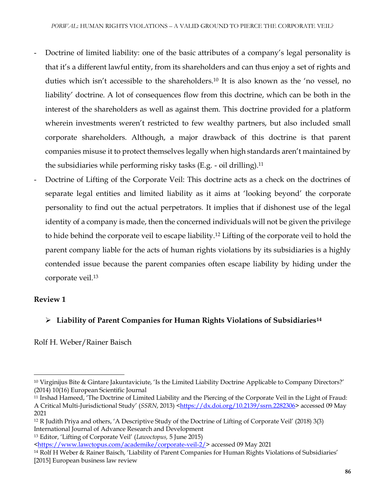- Doctrine of limited liability: one of the basic attributes of a company's legal personality is that it's a different lawful entity, from its shareholders and can thus enjoy a set of rights and duties which isn't accessible to the shareholders.<sup>10</sup> It is also known as the 'no vessel, no liability' doctrine. A lot of consequences flow from this doctrine, which can be both in the interest of the shareholders as well as against them. This doctrine provided for a platform wherein investments weren't restricted to few wealthy partners, but also included small corporate shareholders. Although, a major drawback of this doctrine is that parent companies misuse it to protect themselves legally when high standards aren't maintained by the subsidiaries while performing risky tasks (E.g. - oil drilling).<sup>11</sup>
- Doctrine of Lifting of the Corporate Veil: This doctrine acts as a check on the doctrines of separate legal entities and limited liability as it aims at 'looking beyond' the corporate personality to find out the actual perpetrators. It implies that if dishonest use of the legal identity of a company is made, then the concerned individuals will not be given the privilege to hide behind the corporate veil to escape liability.<sup>12</sup> Lifting of the corporate veil to hold the parent company liable for the acts of human rights violations by its subsidiaries is a highly contended issue because the parent companies often escape liability by hiding under the corporate veil.<sup>13</sup>

## **Review 1**

 $\overline{a}$ 

## **Liability of Parent Companies for Human Rights Violations of Subsidiaries<sup>14</sup>**

Rolf H. Weber/Rainer Baisch

<sup>13</sup> Editor, 'Lifting of Corporate Veil' (*Lawoctopus,* 5 June 2015)

<sup>10</sup> Virginijus Bite & Gintare Jakuntaviciute, 'Is the Limited Liability Doctrine Applicable to Company Directors?' (2014) 10(16) European Scientific Journal

<sup>11</sup> Irshad Hameed, 'The Doctrine of Limited Liability and the Piercing of the Corporate Veil in the Light of Fraud: A Critical Multi-Jurisdictional Study' (*SSRN*, 2013) [<https://dx.doi.org/10.2139/ssrn.2282306>](https://dx.doi.org/10.2139/ssrn.2282306) accessed 09 May 2021

<sup>12</sup> R Judith Priya and others, 'A Descriptive Study of the Doctrine of Lifting of Corporate Veil' (2018) 3(3) International Journal of Advance Research and Development

[<sup>&</sup>lt;https://www.lawctopus.com/academike/corporate-veil-2/>](https://www.lawctopus.com/academike/corporate-veil-2/) accessed 09 May 2021

<sup>14</sup> Rolf H Weber & Rainer Baisch, 'Liability of Parent Companies for Human Rights Violations of Subsidiaries' [2015] European business law review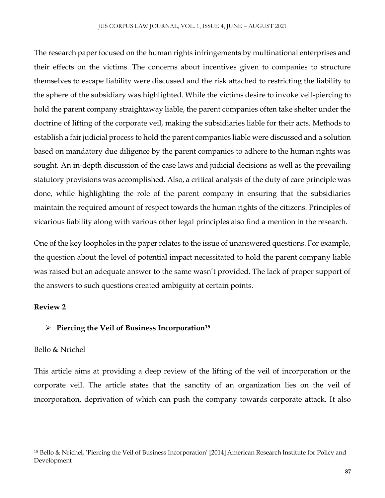The research paper focused on the human rights infringements by multinational enterprises and their effects on the victims. The concerns about incentives given to companies to structure themselves to escape liability were discussed and the risk attached to restricting the liability to the sphere of the subsidiary was highlighted. While the victims desire to invoke veil-piercing to hold the parent company straightaway liable, the parent companies often take shelter under the doctrine of lifting of the corporate veil, making the subsidiaries liable for their acts. Methods to establish a fair judicial process to hold the parent companies liable were discussed and a solution based on mandatory due diligence by the parent companies to adhere to the human rights was sought. An in-depth discussion of the case laws and judicial decisions as well as the prevailing statutory provisions was accomplished. Also, a critical analysis of the duty of care principle was done, while highlighting the role of the parent company in ensuring that the subsidiaries maintain the required amount of respect towards the human rights of the citizens. Principles of vicarious liability along with various other legal principles also find a mention in the research.

One of the key loopholes in the paper relates to the issue of unanswered questions. For example, the question about the level of potential impact necessitated to hold the parent company liable was raised but an adequate answer to the same wasn't provided. The lack of proper support of the answers to such questions created ambiguity at certain points.

## **Review 2**

 $\overline{\phantom{a}}$ 

## **Piercing the Veil of Business Incorporation<sup>15</sup>**

#### Bello & Nrichel

This article aims at providing a deep review of the lifting of the veil of incorporation or the corporate veil. The article states that the sanctity of an organization lies on the veil of incorporation, deprivation of which can push the company towards corporate attack. It also

<sup>15</sup> Bello & Nrichel, 'Piercing the Veil of Business Incorporation' [2014] American Research Institute for Policy and Development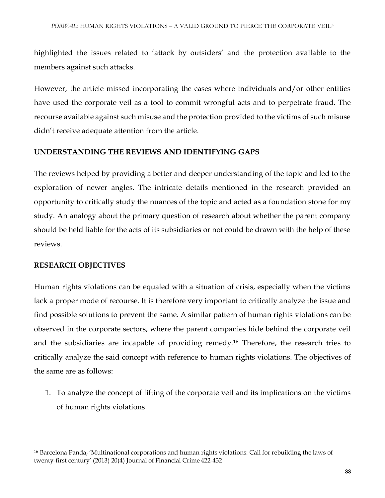highlighted the issues related to 'attack by outsiders' and the protection available to the members against such attacks.

However, the article missed incorporating the cases where individuals and/or other entities have used the corporate veil as a tool to commit wrongful acts and to perpetrate fraud. The recourse available against such misuse and the protection provided to the victims of such misuse didn't receive adequate attention from the article.

#### **UNDERSTANDING THE REVIEWS AND IDENTIFYING GAPS**

The reviews helped by providing a better and deeper understanding of the topic and led to the exploration of newer angles. The intricate details mentioned in the research provided an opportunity to critically study the nuances of the topic and acted as a foundation stone for my study. An analogy about the primary question of research about whether the parent company should be held liable for the acts of its subsidiaries or not could be drawn with the help of these reviews.

#### **RESEARCH OBJECTIVES**

Human rights violations can be equaled with a situation of crisis, especially when the victims lack a proper mode of recourse. It is therefore very important to critically analyze the issue and find possible solutions to prevent the same. A similar pattern of human rights violations can be observed in the corporate sectors, where the parent companies hide behind the corporate veil and the subsidiaries are incapable of providing remedy.<sup>16</sup> Therefore, the research tries to critically analyze the said concept with reference to human rights violations. The objectives of the same are as follows:

1. To analyze the concept of lifting of the corporate veil and its implications on the victims of human rights violations

 $\overline{\phantom{a}}$ <sup>16</sup> Barcelona Panda, 'Multinational corporations and human rights violations: Call for rebuilding the laws of twenty-first century' (2013) 20(4) Journal of Financial Crime 422-432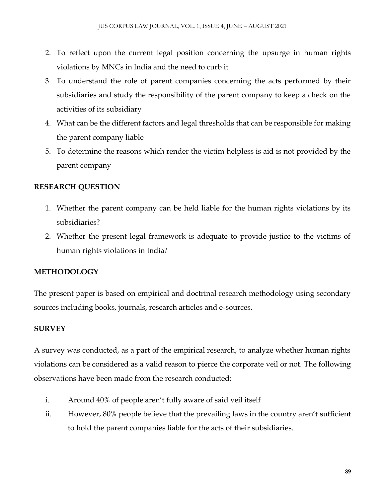- 2. To reflect upon the current legal position concerning the upsurge in human rights violations by MNCs in India and the need to curb it
- 3. To understand the role of parent companies concerning the acts performed by their subsidiaries and study the responsibility of the parent company to keep a check on the activities of its subsidiary
- 4. What can be the different factors and legal thresholds that can be responsible for making the parent company liable
- 5. To determine the reasons which render the victim helpless is aid is not provided by the parent company

## **RESEARCH QUESTION**

- 1. Whether the parent company can be held liable for the human rights violations by its subsidiaries?
- 2. Whether the present legal framework is adequate to provide justice to the victims of human rights violations in India?

# **METHODOLOGY**

The present paper is based on empirical and doctrinal research methodology using secondary sources including books, journals, research articles and e-sources.

# **SURVEY**

A survey was conducted, as a part of the empirical research, to analyze whether human rights violations can be considered as a valid reason to pierce the corporate veil or not. The following observations have been made from the research conducted:

- i. Around 40% of people aren't fully aware of said veil itself
- ii. However, 80% people believe that the prevailing laws in the country aren't sufficient to hold the parent companies liable for the acts of their subsidiaries.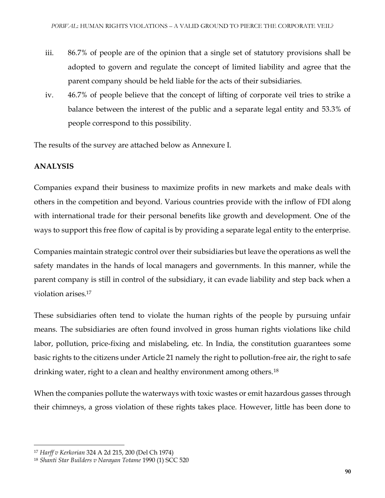- iii. 86.7% of people are of the opinion that a single set of statutory provisions shall be adopted to govern and regulate the concept of limited liability and agree that the parent company should be held liable for the acts of their subsidiaries.
- iv. 46.7% of people believe that the concept of lifting of corporate veil tries to strike a balance between the interest of the public and a separate legal entity and 53.3% of people correspond to this possibility.

The results of the survey are attached below as Annexure I.

# **ANALYSIS**

Companies expand their business to maximize profits in new markets and make deals with others in the competition and beyond. Various countries provide with the inflow of FDI along with international trade for their personal benefits like growth and development. One of the ways to support this free flow of capital is by providing a separate legal entity to the enterprise.

Companies maintain strategic control over their subsidiaries but leave the operations as well the safety mandates in the hands of local managers and governments. In this manner, while the parent company is still in control of the subsidiary, it can evade liability and step back when a violation arises.<sup>17</sup>

These subsidiaries often tend to violate the human rights of the people by pursuing unfair means. The subsidiaries are often found involved in gross human rights violations like child labor, pollution, price-fixing and mislabeling, etc. In India, the constitution guarantees some basic rights to the citizens under Article 21 namely the right to pollution-free air, the right to safe drinking water, right to a clean and healthy environment among others.<sup>18</sup>

When the companies pollute the waterways with toxic wastes or emit hazardous gasses through their chimneys, a gross violation of these rights takes place. However, little has been done to

 $\overline{\phantom{a}}$ 

<sup>17</sup> *Harff v Kerkorian* 324 A 2d 215, 200 (Del Ch 1974)

<sup>18</sup> *Shanti Star Builders v Narayan Totame* 1990 (1) SCC 520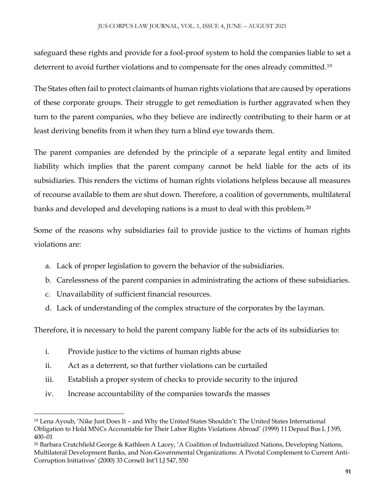safeguard these rights and provide for a fool-proof system to hold the companies liable to set a deterrent to avoid further violations and to compensate for the ones already committed.<sup>19</sup>

The States often fail to protect claimants of human rights violations that are caused by operations of these corporate groups. Their struggle to get remediation is further aggravated when they turn to the parent companies, who they believe are indirectly contributing to their harm or at least deriving benefits from it when they turn a blind eye towards them.

The parent companies are defended by the principle of a separate legal entity and limited liability which implies that the parent company cannot be held liable for the acts of its subsidiaries. This renders the victims of human rights violations helpless because all measures of recourse available to them are shut down. Therefore, a coalition of governments, multilateral banks and developed and developing nations is a must to deal with this problem.<sup>20</sup>

Some of the reasons why subsidiaries fail to provide justice to the victims of human rights violations are:

- a. Lack of proper legislation to govern the behavior of the subsidiaries.
- b. Carelessness of the parent companies in administrating the actions of these subsidiaries.
- c. Unavailability of sufficient financial resources.

 $\overline{a}$ 

d. Lack of understanding of the complex structure of the corporates by the layman.

Therefore, it is necessary to hold the parent company liable for the acts of its subsidiaries to:

- i. Provide justice to the victims of human rights abuse
- ii. Act as a deterrent, so that further violations can be curtailed
- iii. Establish a proper system of checks to provide security to the injured
- iv. Increase accountability of the companies towards the masses

<sup>19</sup> Lena Ayoub, 'Nike Just Does It – and Why the United States Shouldn't: The United States International Obligation to Hold MNCs Accountable for Their Labor Rights Violations Abroad' (1999) 11 Depaul Bus L J 395, 400–01

<sup>20</sup> Barbara Crutchfield George & Kathleen A Lacey, 'A Coalition of Industrialized Nations, Developing Nations, Multilateral Development Banks, and Non-Governmental Organizations: A Pivotal Complement to Current Anti-Corruption Initiatives' (2000) 33 Cornell Int'l LJ 547, 550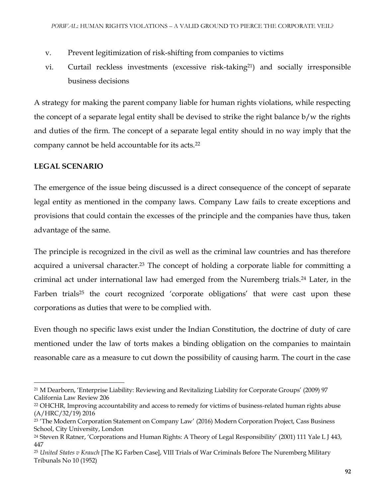- v. Prevent legitimization of risk-shifting from companies to victims
- vi. Curtail reckless investments (excessive risk-taking21) and socially irresponsible business decisions

A strategy for making the parent company liable for human rights violations, while respecting the concept of a separate legal entity shall be devised to strike the right balance b/w the rights and duties of the firm. The concept of a separate legal entity should in no way imply that the company cannot be held accountable for its acts.<sup>22</sup>

## **LEGAL SCENARIO**

 $\overline{\phantom{a}}$ 

The emergence of the issue being discussed is a direct consequence of the concept of separate legal entity as mentioned in the company laws. Company Law fails to create exceptions and provisions that could contain the excesses of the principle and the companies have thus, taken advantage of the same.

The principle is recognized in the civil as well as the criminal law countries and has therefore acquired a universal character.<sup>23</sup> The concept of holding a corporate liable for committing a criminal act under international law had emerged from the Nuremberg trials.<sup>24</sup> Later, in the Farben trials<sup>25</sup> the court recognized 'corporate obligations' that were cast upon these corporations as duties that were to be complied with.

Even though no specific laws exist under the Indian Constitution, the doctrine of duty of care mentioned under the law of torts makes a binding obligation on the companies to maintain reasonable care as a measure to cut down the possibility of causing harm. The court in the case

<sup>21</sup> M Dearborn, 'Enterprise Liability: Reviewing and Revitalizing Liability for Corporate Groups' (2009) 97 California Law Review 206

<sup>&</sup>lt;sup>22</sup> OHCHR, Improving accountability and access to remedy for victims of business-related human rights abuse (A/HRC/32/19) 2016

<sup>&</sup>lt;sup>23</sup> 'The Modern Corporation Statement on Company Law' (2016) Modern Corporation Project, Cass Business School, City University, London

<sup>24</sup> Steven R Ratner, 'Corporations and Human Rights: A Theory of Legal Responsibility' (2001) 111 Yale L J 443, 447

<sup>25</sup> *United States v Krauch* [The IG Farben Case], VIII Trials of War Criminals Before The Nuremberg Military Tribunals No 10 (1952)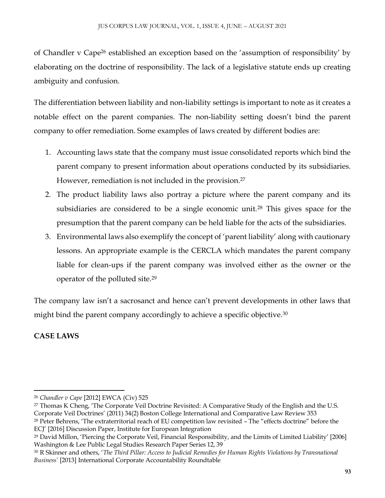of Chandler v Cape<sup>26</sup> established an exception based on the 'assumption of responsibility' by elaborating on the doctrine of responsibility. The lack of a legislative statute ends up creating ambiguity and confusion.

The differentiation between liability and non-liability settings is important to note as it creates a notable effect on the parent companies. The non-liability setting doesn't bind the parent company to offer remediation. Some examples of laws created by different bodies are:

- 1. Accounting laws state that the company must issue consolidated reports which bind the parent company to present information about operations conducted by its subsidiaries. However, remediation is not included in the provision.<sup>27</sup>
- 2. The product liability laws also portray a picture where the parent company and its subsidiaries are considered to be a single economic unit.<sup>28</sup> This gives space for the presumption that the parent company can be held liable for the acts of the subsidiaries.
- 3. Environmental laws also exemplify the concept of 'parent liability' along with cautionary lessons. An appropriate example is the CERCLA which mandates the parent company liable for clean-ups if the parent company was involved either as the owner or the operator of the polluted site.<sup>29</sup>

The company law isn't a sacrosanct and hence can't prevent developments in other laws that might bind the parent company accordingly to achieve a specific objective.<sup>30</sup>

# **CASE LAWS**

 $\overline{\phantom{a}}$ 

<sup>26</sup> *Chandler v Cape* [2012] EWCA (Civ) 525

<sup>&</sup>lt;sup>27</sup> Thomas K Cheng, 'The Corporate Veil Doctrine Revisited: A Comparative Study of the English and the U.S. Corporate Veil Doctrines' (2011) 34(2) Boston College International and Comparative Law Review 353 <sup>28</sup> Peter Behrens, 'The extraterritorial reach of EU competition law revisited – The "effects doctrine" before the ECJ' [2016] Discussion Paper, Institute for European Integration

<sup>29</sup> David Millon, 'Piercing the Corporate Veil, Financial Responsibility, and the Limits of Limited Liability' [2006] Washington & Lee Public Legal Studies Research Paper Series 12, 39

<sup>30</sup> R Skinner and others, '*The Third Pillar: Access to Judicial Remedies for Human Rights Violations by Transnational Business'* [2013] International Corporate Accountability Roundtable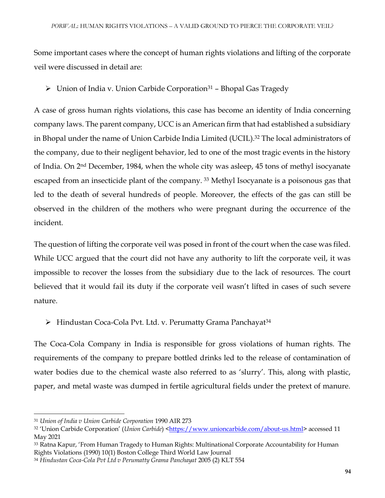Some important cases where the concept of human rights violations and lifting of the corporate veil were discussed in detail are:

 $\triangleright$  Union of India v. Union Carbide Corporation<sup>31</sup> - Bhopal Gas Tragedy

A case of gross human rights violations, this case has become an identity of India concerning company laws. The parent company, UCC is an American firm that had established a subsidiary in Bhopal under the name of Union Carbide India Limited (UCIL).<sup>32</sup> The local administrators of the company, due to their negligent behavior, led to one of the most tragic events in the history of India. On 2nd December, 1984, when the whole city was asleep, 45 tons of methyl isocyanate escaped from an insecticide plant of the company.<sup>33</sup> Methyl Isocyanate is a poisonous gas that led to the death of several hundreds of people. Moreover, the effects of the gas can still be observed in the children of the mothers who were pregnant during the occurrence of the incident.

The question of lifting the corporate veil was posed in front of the court when the case was filed. While UCC argued that the court did not have any authority to lift the corporate veil, it was impossible to recover the losses from the subsidiary due to the lack of resources. The court believed that it would fail its duty if the corporate veil wasn't lifted in cases of such severe nature.

 $\triangleright$  Hindustan Coca-Cola Pvt. Ltd. v. Perumatty Grama Panchayat<sup>34</sup>

The Coca-Cola Company in India is responsible for gross violations of human rights. The requirements of the company to prepare bottled drinks led to the release of contamination of water bodies due to the chemical waste also referred to as 'slurry'. This, along with plastic, paper, and metal waste was dumped in fertile agricultural fields under the pretext of manure.

 $\overline{a}$ 

<sup>31</sup> *Union of India v Union Carbide Corporation* 1990 AIR 273

<sup>32 &#</sup>x27;Union Carbide Corporation' (*Union Carbide*) [<https://www.unioncarbide.com/about-us.html>](https://www.unioncarbide.com/about-us.html) accessed 11 May 2021

<sup>33</sup> Ratna Kapur, 'From Human Tragedy to Human Rights: Multinational Corporate Accountability for Human Rights Violations (1990) 10(1) Boston College Third World Law Journal

<sup>34</sup> *Hindustan Coca-Cola Pvt Ltd v Perumatty Grama Panchayat* 2005 (2) KLT 554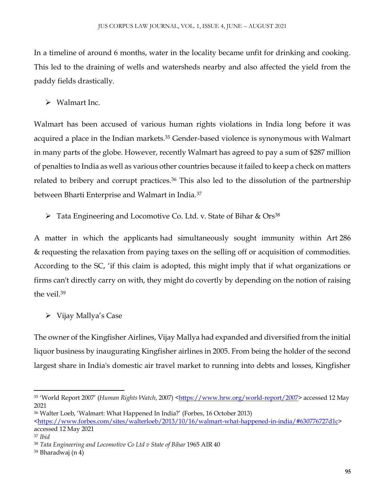In a timeline of around 6 months, water in the locality became unfit for drinking and cooking. This led to the draining of wells and watersheds nearby and also affected the yield from the paddy fields drastically.

 $\triangleright$  Walmart Inc.

Walmart has been accused of various human rights violations in India long before it was acquired a place in the Indian markets.<sup>35</sup> Gender-based violence is synonymous with Walmart in many parts of the globe. However, recently Walmart has agreed to pay a sum of \$287 million of penalties to India as well as various other countries because it failed to keep a check on matters related to bribery and corrupt practices.<sup>36</sup> This also led to the dissolution of the partnership between Bharti Enterprise and Walmart in India.<sup>37</sup>

 $\triangleright$  Tata Engineering and Locomotive Co. Ltd. v. State of Bihar & Ors<sup>38</sup>

A matter in which the applicants had simultaneously sought immunity within Art 286 & requesting the relaxation from paying taxes on the selling off or acquisition of commodities. According to the SC, 'if this claim is adopted, this might imply that if what organizations or firms can't directly carry on with, they might do covertly by depending on the notion of raising the veil.<sup>39</sup>

 $\triangleright$  Vijay Mallya's Case

The owner of the Kingfisher Airlines, Vijay Mallya had expanded and diversified from the initial liquor business by inaugurating Kingfisher airlines in 2005. From being the holder of the second largest share in India's domestic air travel market to running into debts and losses, Kingfisher

 $\overline{\phantom{a}}$ 

<sup>&</sup>lt;sup>35</sup> 'World Report 2007' (*Human Rights Watch*, 2007) [<https://www.hrw.org/world-report/2007>](https://www.hrw.org/world-report/2007) accessed 12 May 2021

<sup>36</sup> Walter Loeb, 'Walmart: What Happened In India?' (Forbes, 16 October 2013)

[<sup>&</sup>lt;https://www.forbes.com/sites/walterloeb/2013/10/16/walmart-what-happened-in-india/#630776727d1c>](https://www.forbes.com/sites/walterloeb/2013/10/16/walmart-what-happened-in-india/%23630776727d1c) accessed 12 May 2021

<sup>37</sup> *Ibid*

<sup>&</sup>lt;sup>38</sup> Tata Engineering and Locomotive Co Ltd v State of Bihar 1965 AIR 40

<sup>39</sup> Bharadwaj (n 4)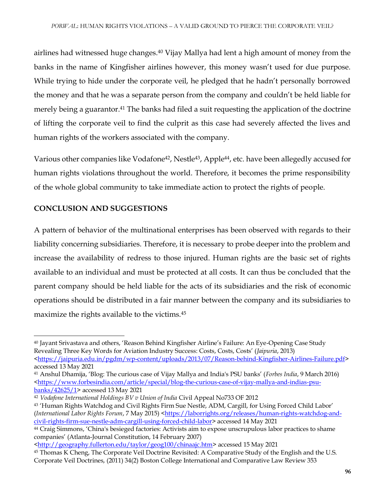airlines had witnessed huge changes.<sup>40</sup> Vijay Mallya had lent a high amount of money from the banks in the name of Kingfisher airlines however, this money wasn't used for due purpose. While trying to hide under the corporate veil, he pledged that he hadn't personally borrowed the money and that he was a separate person from the company and couldn't be held liable for merely being a guarantor.<sup>41</sup> The banks had filed a suit requesting the application of the doctrine of lifting the corporate veil to find the culprit as this case had severely affected the lives and human rights of the workers associated with the company.

Various other companies like Vodafone<sup>42</sup>, Nestle<sup>43</sup>, Apple<sup>44</sup>, etc. have been allegedly accused for human rights violations throughout the world. Therefore, it becomes the prime responsibility of the whole global community to take immediate action to protect the rights of people.

## **CONCLUSION AND SUGGESTIONS**

A pattern of behavior of the multinational enterprises has been observed with regards to their liability concerning subsidiaries. Therefore, it is necessary to probe deeper into the problem and increase the availability of redress to those injured. Human rights are the basic set of rights available to an individual and must be protected at all costs. It can thus be concluded that the parent company should be held liable for the acts of its subsidiaries and the risk of economic operations should be distributed in a fair manner between the company and its subsidiaries to maximize the rights available to the victims.<sup>45</sup>

 $\overline{a}$ <sup>40</sup> Jayant Srivastava and others, 'Reason Behind Kingfisher Airline's Failure: An Eye-Opening Case Study Revealing Three Key Words for Aviation Industry Success: Costs, Costs, Costs' (*Jaipuria*, 2013) [<https://jaipuria.edu.in/pgdm/wp-content/uploads/2013/07/Reason-behind-Kingfisher-Airlines-Failure.pdf>](https://jaipuria.edu.in/pgdm/wp-content/uploads/2013/07/Reason-behind-Kingfisher-Airlines-Failure.pdf) accessed 13 May 2021

<sup>41</sup> Anshul Dhamija, 'Blog: The curious case of Vijay Mallya and India's PSU banks' (*Forbes India*, 9 March 2016)  $\frac{\text{th}{t}}{\text{th}}$  /www.forbesindia.com/article/special/blog-the-curious-case-of-vijay-mallya-and-indias-psu[banks/42625/1>](https://www.forbesindia.com/article/special/blog-the-curious-case-of-vijay-mallya-and-indias-psu-banks/42625/1) accessed 13 May 2021

<sup>42</sup> *Vodafone International Holdings BV v Union of India* Civil Appeal No733 OF 2012

<sup>43</sup> 'Human Rights Watchdog and Civil Rights Firm Sue Nestle, ADM, Cargill, for Using Forced Child Labor' (*International Labor Rights Forum, 7 May 2015*) [<https://laborrights.org/releases/human-rights-watchdog-and](https://laborrights.org/releases/human-rights-watchdog-and-civil-rights-firm-sue-nestle-adm-cargill-using-forced-child-labor)[civil-rights-firm-sue-nestle-adm-cargill-using-forced-child-labor>](https://laborrights.org/releases/human-rights-watchdog-and-civil-rights-firm-sue-nestle-adm-cargill-using-forced-child-labor) accessed 14 May 2021

<sup>44</sup> Craig Simmons, 'China's besieged factories: Activists aim to expose unscrupulous labor practices to shame companies' (Atlanta-Journal Constitution, 14 February 2007)

[<sup>&</sup>lt;http://geography.fullerton.edu/taylor/geog100/chinaajc.htm>](http://geography.fullerton.edu/taylor/geog100/chinaajc.htm) accessed 15 May 2021

<sup>45</sup> Thomas K Cheng, The Corporate Veil Doctrine Revisited: A Comparative Study of the English and the U.S. Corporate Veil Doctrines, (2011) 34(2) Boston College International and Comparative Law Review 353